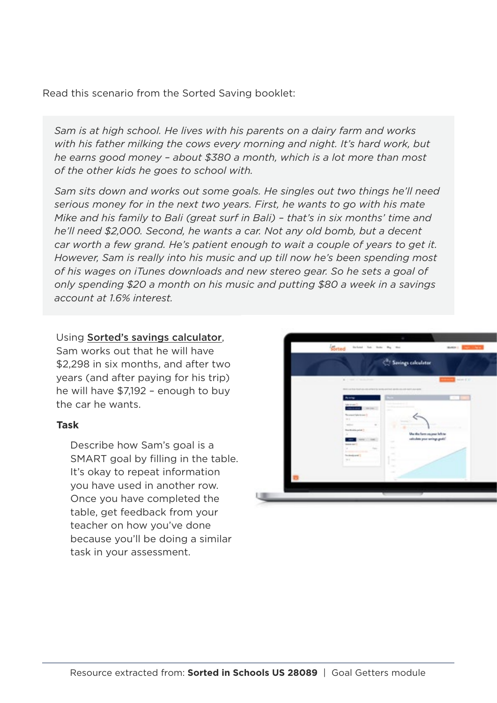Read this scenario from the Sorted Saving booklet:

*Sam is at high school. He lives with his parents on a dairy farm and works with his father milking the cows every morning and night. It's hard work, but he earns good money – about \$380 a month, which is a lot more than most of the other kids he goes to school with.* 

*Sam sits down and works out some goals. He singles out two things he'll need serious money for in the next two years. First, he wants to go with his mate Mike and his family to Bali (great surf in Bali) – that's in six months' time and he'll need \$2,000. Second, he wants a car. Not any old bomb, but a decent car worth a few grand. He's patient enough to wait a couple of years to get it. However, Sam is really into his music and up till now he's been spending most of his wages on iTunes downloads and new stereo gear. So he sets a goal of only spending \$20 a month on his music and putting \$80 a week in a savings account at 1.6% interest.*

## Using [Sorted's savings calculator](https://sorted.org.nz/tools/savings-calculator),

Sam works out that he will have \$2,298 in six months, and after two years (and after paying for his trip) he will have \$7,192 – enough to buy the car he wants.

## 3) **Task**

Describe how Sam's goal is a SMART goal by filling in the table. It's okay to repeat information you have used in another row. Once you have completed the table, get feedback from your teacher on how you've done because you'll be doing a similar task in your assessment.